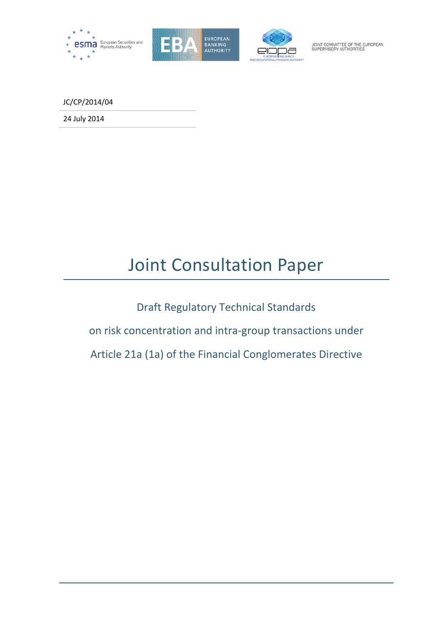





JOINT COMMITTEE OF THE EUROPEAN<br>SUPERVISORY AUTHORITIES

JC/CP/2014/04

24 July 2014

# Joint Consultation Paper

Draft Regulatory Technical Standards

on risk concentration and intra-group transactions under

Article 21a (1a) of the Financial Conglomerates Directive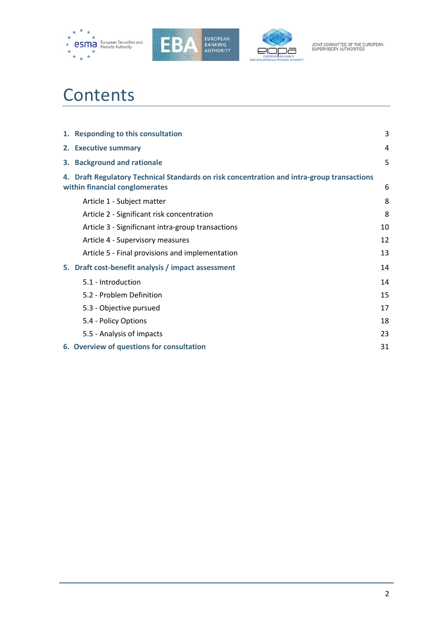





# **Contents**

|    | 1. Responding to this consultation                                                                                           | 3  |
|----|------------------------------------------------------------------------------------------------------------------------------|----|
|    | 2. Executive summary                                                                                                         | 4  |
|    | 3. Background and rationale                                                                                                  | 5  |
|    | 4. Draft Regulatory Technical Standards on risk concentration and intra-group transactions<br>within financial conglomerates | 6  |
|    | Article 1 - Subject matter                                                                                                   | 8  |
|    | Article 2 - Significant risk concentration                                                                                   | 8  |
|    | Article 3 - Significnant intra-group transactions                                                                            | 10 |
|    | Article 4 - Supervisory measures                                                                                             | 12 |
|    | Article 5 - Final provisions and implementation                                                                              | 13 |
| 5. | Draft cost-benefit analysis / impact assessment                                                                              | 14 |
|    | 5.1 - Introduction                                                                                                           | 14 |
|    | 5.2 - Problem Definition                                                                                                     | 15 |
|    | 5.3 - Objective pursued                                                                                                      | 17 |
|    | 5.4 - Policy Options                                                                                                         | 18 |
|    | 5.5 - Analysis of impacts                                                                                                    | 23 |
|    | 6. Overview of questions for consultation                                                                                    | 31 |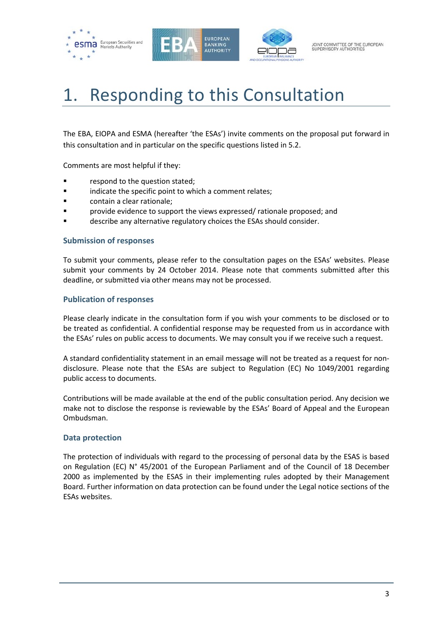





# 1. Responding to this Consultation

The EBA, EIOPA and ESMA (hereafter 'the ESAs') invite comments on the proposal put forward in this consultation and in particular on the specific questions listed in 5.2.

Comments are most helpful if they:

- respond to the question stated;
- **Example 3** indicate the specific point to which a comment relates;
- contain a clear rationale;
- provide evidence to support the views expressed/ rationale proposed; and
- describe any alternative regulatory choices the ESAs should consider.

#### **Submission of responses**

To submit your comments, please refer to the consultation pages on the ESAs' websites. Please submit your comments by 24 October 2014. Please note that comments submitted after this deadline, or submitted via other means may not be processed.

#### **Publication of responses**

Please clearly indicate in the consultation form if you wish your comments to be disclosed or to be treated as confidential. A confidential response may be requested from us in accordance with the ESAs' rules on public access to documents. We may consult you if we receive such a request.

A standard confidentiality statement in an email message will not be treated as a request for nondisclosure. Please note that the ESAs are subject to Regulation (EC) No 1049/2001 regarding public access to documents.

Contributions will be made available at the end of the public consultation period. Any decision we make not to disclose the response is reviewable by the ESAs' Board of Appeal and the European Ombudsman.

# **Data protection**

The protection of individuals with regard to the processing of personal data by the ESAS is based on Regulation (EC) N° 45/2001 of the European Parliament and of the Council of 18 December 2000 as implemented by the ESAS in their implementing rules adopted by their Management Board. Further information on data protection can be found under the Legal notice sections of the ESAs websites.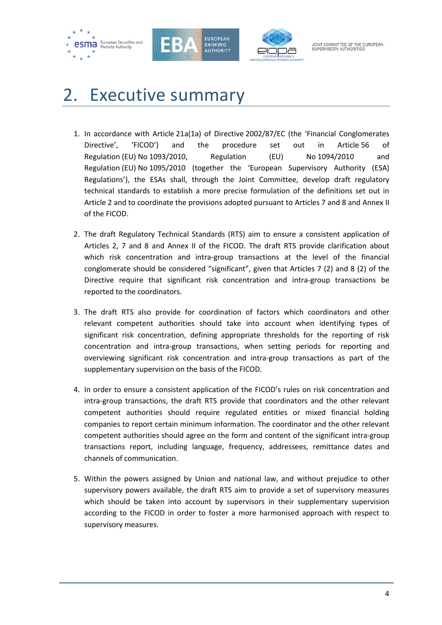





# 2. Executive summary

- 1. In accordance with Article 21a(1a) of Directive 2002/87/EC (the 'Financial Conglomerates Directive', 'FICOD') and the procedure set out in Article 56 of Regulation (EU) No 1093/2010, Regulation (EU) No 1094/2010 and Regulation (EU) No 1095/2010 (together the 'European Supervisory Authority (ESA) Regulations'), the ESAs shall, through the Joint Committee, develop draft regulatory technical standards to establish a more precise formulation of the definitions set out in Article 2 and to coordinate the provisions adopted pursuant to Articles 7 and 8 and Annex II of the FICOD.
- 2. The draft Regulatory Technical Standards (RTS) aim to ensure a consistent application of Articles 2, 7 and 8 and Annex II of the FICOD. The draft RTS provide clarification about which risk concentration and intra-group transactions at the level of the financial conglomerate should be considered "significant", given that Articles 7 (2) and 8 (2) of the Directive require that significant risk concentration and intra-group transactions be reported to the coordinators.
- 3. The draft RTS also provide for coordination of factors which coordinators and other relevant competent authorities should take into account when identifying types of significant risk concentration, defining appropriate thresholds for the reporting of risk concentration and intra-group transactions, when setting periods for reporting and overviewing significant risk concentration and intra-group transactions as part of the supplementary supervision on the basis of the FICOD.
- 4. In order to ensure a consistent application of the FICOD's rules on risk concentration and intra-group transactions, the draft RTS provide that coordinators and the other relevant competent authorities should require regulated entities or mixed financial holding companies to report certain minimum information. The coordinator and the other relevant competent authorities should agree on the form and content of the significant intra-group transactions report, including language, frequency, addressees, remittance dates and channels of communication.
- 5. Within the powers assigned by Union and national law, and without prejudice to other supervisory powers available, the draft RTS aim to provide a set of supervisory measures which should be taken into account by supervisors in their supplementary supervision according to the FICOD in order to foster a more harmonised approach with respect to supervisory measures.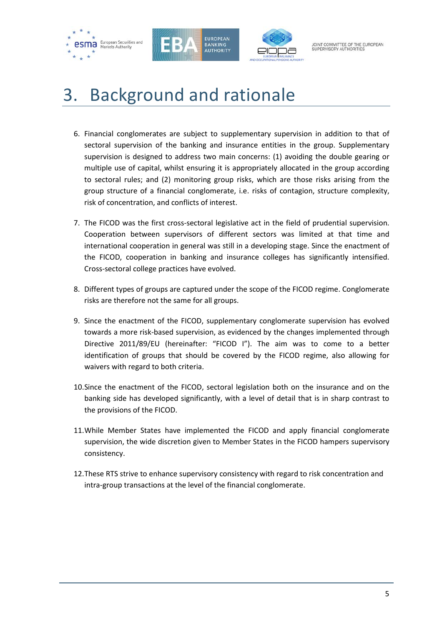





JOINT COMMITTEE OF THE EUROPEAN<br>SUPERVISORY AUTHORITIES

# 3. Background and rationale

- 6. Financial conglomerates are subject to supplementary supervision in addition to that of sectoral supervision of the banking and insurance entities in the group. Supplementary supervision is designed to address two main concerns: (1) avoiding the double gearing or multiple use of capital, whilst ensuring it is appropriately allocated in the group according to sectoral rules; and (2) monitoring group risks, which are those risks arising from the group structure of a financial conglomerate, i.e. risks of contagion, structure complexity, risk of concentration, and conflicts of interest.
- 7. The FICOD was the first cross-sectoral legislative act in the field of prudential supervision. Cooperation between supervisors of different sectors was limited at that time and international cooperation in general was still in a developing stage. Since the enactment of the FICOD, cooperation in banking and insurance colleges has significantly intensified. Cross-sectoral college practices have evolved.
- 8. Different types of groups are captured under the scope of the FICOD regime. Conglomerate risks are therefore not the same for all groups.
- 9. Since the enactment of the FICOD, supplementary conglomerate supervision has evolved towards a more risk-based supervision, as evidenced by the changes implemented through Directive 2011/89/EU (hereinafter: "FICOD I"). The aim was to come to a better identification of groups that should be covered by the FICOD regime, also allowing for waivers with regard to both criteria.
- 10.Since the enactment of the FICOD, sectoral legislation both on the insurance and on the banking side has developed significantly, with a level of detail that is in sharp contrast to the provisions of the FICOD.
- 11.While Member States have implemented the FICOD and apply financial conglomerate supervision, the wide discretion given to Member States in the FICOD hampers supervisory consistency.
- 12.These RTS strive to enhance supervisory consistency with regard to risk concentration and intra-group transactions at the level of the financial conglomerate.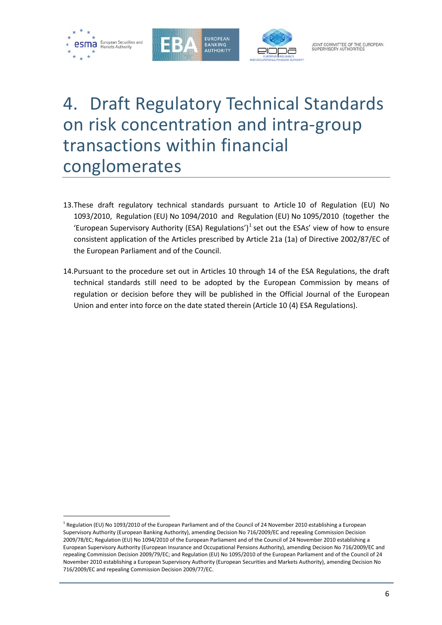

 $\overline{a}$ 





# 4. Draft Regulatory Technical Standards on risk concentration and intra-group transactions within financial conglomerates

- 13.These draft regulatory technical standards pursuant to Article 10 of Regulation (EU) No 1093/2010, Regulation (EU) No 1094/2010 and Regulation (EU) No 1095/2010 (together the 'European Supervisory Authority (ESA) Regulations')<sup>[1](#page-5-0)</sup> set out the ESAs' view of how to ensure consistent application of the Articles prescribed by Article 21a (1a) of Directive 2002/87/EC of the European Parliament and of the Council.
- 14.Pursuant to the procedure set out in Articles 10 through 14 of the ESA Regulations, the draft technical standards still need to be adopted by the European Commission by means of regulation or decision before they will be published in the Official Journal of the European Union and enter into force on the date stated therein (Article 10 (4) ESA Regulations).

<span id="page-5-0"></span> $1$  Regulation (EU) No 1093/2010 of the European Parliament and of the Council of 24 November 2010 establishing a European Supervisory Authority (European Banking Authority), amending Decision No 716/2009/EC and repealing Commission Decision 2009/78/EC; Regulation (EU) No 1094/2010 of the European Parliament and of the Council of 24 November 2010 establishing a European Supervisory Authority (European Insurance and Occupational Pensions Authority), amending Decision No 716/2009/EC and repealing Commission Decision 2009/79/EC; and Regulation (EU) No 1095/2010 of the European Parliament and of the Council of 24 November 2010 establishing a European Supervisory Authority (European Securities and Markets Authority), amending Decision No 716/2009/EC and repealing Commission Decision 2009/77/EC.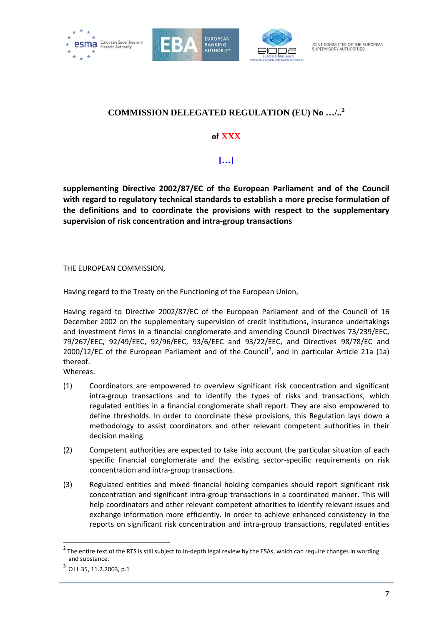





# **COMMISSION DELEGATED REGULATION (EU) No …/..[2](#page-6-0)**

**of XXX**

**[…]**

**supplementing Directive 2002/87/EC of the European Parliament and of the Council with regard to regulatory technical standards to establish a more precise formulation of the definitions and to coordinate the provisions with respect to the supplementary supervision of risk concentration and intra-group transactions**

THE EUROPEAN COMMISSION,

Having regard to the Treaty on the Functioning of the European Union,

Having regard to Directive 2002/87/EC of the European Parliament and of the Council of 16 December 2002 on the supplementary supervision of credit institutions, insurance undertakings and investment firms in a financial conglomerate and amending Council Directives 73/239/EEC, 79/267/EEC, 92/49/EEC, 92/96/EEC, 93/6/EEC and 93/22/EEC, and Directives 98/78/EC and 2000/12/EC of the European Parliament and of the Council<sup>[3](#page-6-1)</sup>, and in particular Article 21a (1a) thereof.

Whereas:

- (1) Coordinators are empowered to overview significant risk concentration and significant intra-group transactions and to identify the types of risks and transactions, which regulated entities in a financial conglomerate shall report. They are also empowered to define thresholds. In order to coordinate these provisions, this Regulation lays down a methodology to assist coordinators and other relevant competent authorities in their decision making.
- (2) Competent authorities are expected to take into account the particular situation of each specific financial conglomerate and the existing sector-specific requirements on risk concentration and intra-group transactions.
- (3) Regulated entities and mixed financial holding companies should report significant risk concentration and significant intra-group transactions in a coordinated manner. This will help coordinators and other relevant competent athorities to identify relevant issues and exchange information more efficiently. In order to achieve enhanced consistency in the reports on significant risk concentration and intra-group transactions, regulated entities

 $\overline{a}$ 

<span id="page-6-0"></span> $2$  The entire text of the RTS is still subject to in-depth legal review by the ESAs, which can require changes in wording and substance.

<span id="page-6-1"></span> $3$  OJ L 35, 11.2.2003, p.1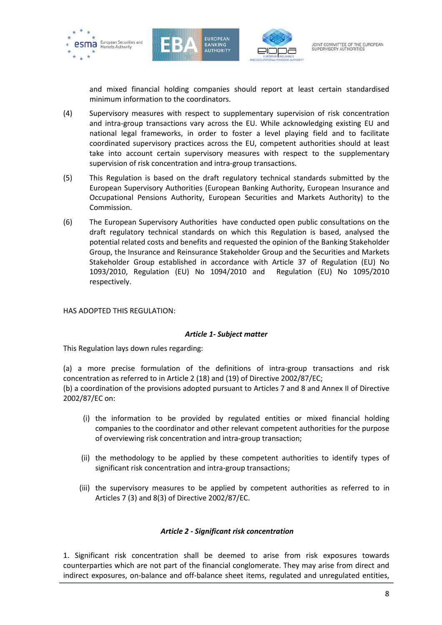





and mixed financial holding companies should report at least certain standardised minimum information to the coordinators.

- (4) Supervisory measures with respect to supplementary supervision of risk concentration and intra-group transactions vary across the EU. While acknowledging existing EU and national legal frameworks, in order to foster a level playing field and to facilitate coordinated supervisory practices across the EU, competent authorities should at least take into account certain supervisory measures with respect to the supplementary supervision of risk concentration and intra-group transactions.
- (5) This Regulation is based on the draft regulatory technical standards submitted by the European Supervisory Authorities (European Banking Authority, European Insurance and Occupational Pensions Authority, European Securities and Markets Authority) to the Commission.
- (6) The European Supervisory Authorities have conducted open public consultations on the draft regulatory technical standards on which this Regulation is based, analysed the potential related costs and benefits and requested the opinion of the Banking Stakeholder Group, the Insurance and Reinsurance Stakeholder Group and the Securities and Markets Stakeholder Group established in accordance with Article 37 of Regulation (EU) No 1093/2010, Regulation (EU) No 1094/2010 and Regulation (EU) No 1095/2010 respectively.

#### HAS ADOPTED THIS REGULATION:

#### *Article 1- Subject matter*

This Regulation lays down rules regarding:

(a) a more precise formulation of the definitions of intra-group transactions and risk concentration as referred to in Article 2 (18) and (19) of Directive 2002/87/EC; (b) a coordination of the provisions adopted pursuant to Articles 7 and 8 and Annex II of Directive 2002/87/EC on:

- (i) the information to be provided by regulated entities or mixed financial holding companies to the coordinator and other relevant competent authorities for the purpose of overviewing risk concentration and intra-group transaction;
- (ii) the methodology to be applied by these competent authorities to identify types of significant risk concentration and intra-group transactions;
- (iii) the supervisory measures to be applied by competent authorities as referred to in Articles 7 (3) and 8(3) of Directive 2002/87/EC.

#### *Article 2 - Significant risk concentration*

1. Significant risk concentration shall be deemed to arise from risk exposures towards counterparties which are not part of the financial conglomerate. They may arise from direct and indirect exposures, on-balance and off-balance sheet items, regulated and unregulated entities,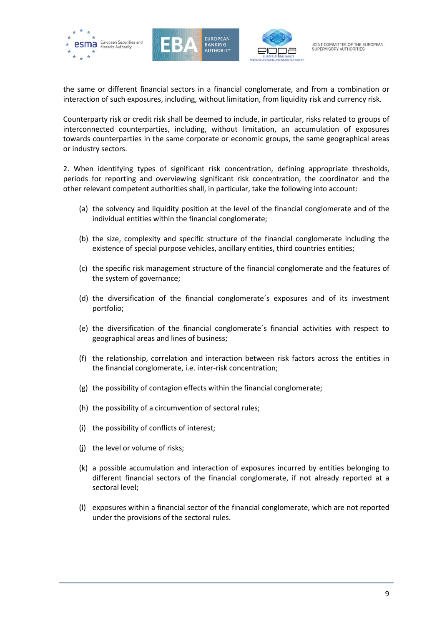





the same or different financial sectors in a financial conglomerate, and from a combination or interaction of such exposures, including, without limitation, from liquidity risk and currency risk.

Counterparty risk or credit risk shall be deemed to include, in particular, risks related to groups of interconnected counterparties, including, without limitation, an accumulation of exposures towards counterparties in the same corporate or economic groups, the same geographical areas or industry sectors.

2. When identifying types of significant risk concentration, defining appropriate thresholds, periods for reporting and overviewing significant risk concentration, the coordinator and the other relevant competent authorities shall, in particular, take the following into account:

- (a) the solvency and liquidity position at the level of the financial conglomerate and of the individual entities within the financial conglomerate;
- (b) the size, complexity and specific structure of the financial conglomerate including the existence of special purpose vehicles, ancillary entities, third countries entities;
- (c) the specific risk management structure of the financial conglomerate and the features of the system of governance;
- (d) the diversification of the financial conglomerate´s exposures and of its investment portfolio;
- (e) the diversification of the financial conglomerate´s financial activities with respect to geographical areas and lines of business;
- (f) the relationship, correlation and interaction between risk factors across the entities in the financial conglomerate, i.e. inter-risk concentration;
- (g) the possibility of contagion effects within the financial conglomerate;
- (h) the possibility of a circumvention of sectoral rules;
- (i) the possibility of conflicts of interest;
- (j) the level or volume of risks;
- (k) a possible accumulation and interaction of exposures incurred by entities belonging to different financial sectors of the financial conglomerate, if not already reported at a sectoral level;
- (l) exposures within a financial sector of the financial conglomerate, which are not reported under the provisions of the sectoral rules.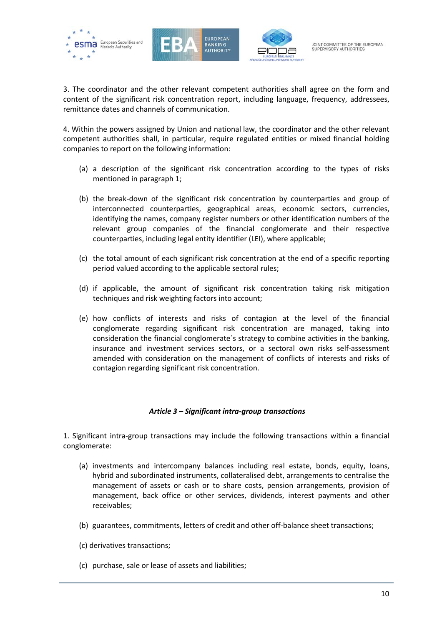





3. The coordinator and the other relevant competent authorities shall agree on the form and content of the significant risk concentration report, including language, frequency, addressees, remittance dates and channels of communication.

4. Within the powers assigned by Union and national law, the coordinator and the other relevant competent authorities shall, in particular, require regulated entities or mixed financial holding companies to report on the following information:

- (a) a description of the significant risk concentration according to the types of risks mentioned in paragraph 1;
- (b) the break-down of the significant risk concentration by counterparties and group of interconnected counterparties, geographical areas, economic sectors, currencies, identifying the names, company register numbers or other identification numbers of the relevant group companies of the financial conglomerate and their respective counterparties, including legal entity identifier (LEI), where applicable;
- (c) the total amount of each significant risk concentration at the end of a specific reporting period valued according to the applicable sectoral rules;
- (d) if applicable, the amount of significant risk concentration taking risk mitigation techniques and risk weighting factors into account;
- (e) how conflicts of interests and risks of contagion at the level of the financial conglomerate regarding significant risk concentration are managed, taking into consideration the financial conglomerate´s strategy to combine activities in the banking, insurance and investment services sectors, or a sectoral own risks self-assessment amended with consideration on the management of conflicts of interests and risks of contagion regarding significant risk concentration.

# *Article 3 – Significant intra-group transactions*

1. Significant intra-group transactions may include the following transactions within a financial conglomerate:

- (a) investments and intercompany balances including real estate, bonds, equity, loans, hybrid and subordinated instruments, collateralised debt, arrangements to centralise the management of assets or cash or to share costs, pension arrangements, provision of management, back office or other services, dividends, interest payments and other receivables;
- (b) guarantees, commitments, letters of credit and other off-balance sheet transactions;
- (c) derivatives transactions;
- (c) purchase, sale or lease of assets and liabilities;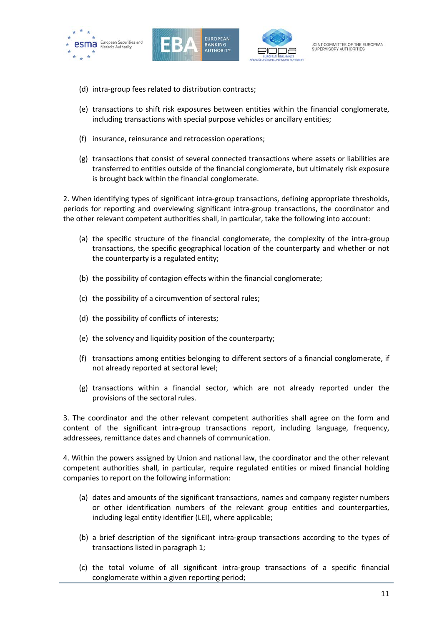





- (d) intra-group fees related to distribution contracts;
- (e) transactions to shift risk exposures between entities within the financial conglomerate, including transactions with special purpose vehicles or ancillary entities;
- (f) insurance, reinsurance and retrocession operations;
- (g) transactions that consist of several connected transactions where assets or liabilities are transferred to entities outside of the financial conglomerate, but ultimately risk exposure is brought back within the financial conglomerate.

2. When identifying types of significant intra-group transactions, defining appropriate thresholds, periods for reporting and overviewing significant intra-group transactions, the coordinator and the other relevant competent authorities shall, in particular, take the following into account:

- (a) the specific structure of the financial conglomerate, the complexity of the intra-group transactions, the specific geographical location of the counterparty and whether or not the counterparty is a regulated entity;
- (b) the possibility of contagion effects within the financial conglomerate;
- (c) the possibility of a circumvention of sectoral rules;
- (d) the possibility of conflicts of interests;
- (e) the solvency and liquidity position of the counterparty;
- (f) transactions among entities belonging to different sectors of a financial conglomerate, if not already reported at sectoral level;
- (g) transactions within a financial sector, which are not already reported under the provisions of the sectoral rules.

3. The coordinator and the other relevant competent authorities shall agree on the form and content of the significant intra-group transactions report, including language, frequency, addressees, remittance dates and channels of communication.

4. Within the powers assigned by Union and national law, the coordinator and the other relevant competent authorities shall, in particular, require regulated entities or mixed financial holding companies to report on the following information:

- (a) dates and amounts of the significant transactions, names and company register numbers or other identification numbers of the relevant group entities and counterparties, including legal entity identifier (LEI), where applicable;
- (b) a brief description of the significant intra-group transactions according to the types of transactions listed in paragraph 1;
- (c) the total volume of all significant intra-group transactions of a specific financial conglomerate within a given reporting period;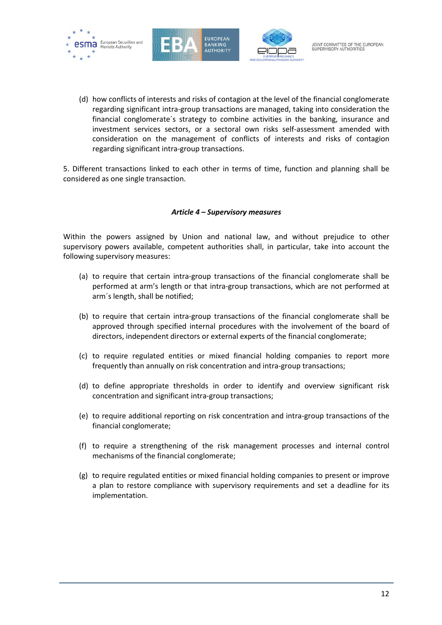





(d) how conflicts of interests and risks of contagion at the level of the financial conglomerate regarding significant intra-group transactions are managed, taking into consideration the financial conglomerate´s strategy to combine activities in the banking, insurance and investment services sectors, or a sectoral own risks self-assessment amended with consideration on the management of conflicts of interests and risks of contagion regarding significant intra-group transactions.

5. Different transactions linked to each other in terms of time, function and planning shall be considered as one single transaction.

# *Article 4 – Supervisory measures*

Within the powers assigned by Union and national law, and without prejudice to other supervisory powers available, competent authorities shall, in particular, take into account the following supervisory measures:

- (a) to require that certain intra-group transactions of the financial conglomerate shall be performed at arm's length or that intra-group transactions, which are not performed at arm´s length, shall be notified;
- (b) to require that certain intra-group transactions of the financial conglomerate shall be approved through specified internal procedures with the involvement of the board of directors, independent directors or external experts of the financial conglomerate;
- (c) to require regulated entities or mixed financial holding companies to report more frequently than annually on risk concentration and intra-group transactions;
- (d) to define appropriate thresholds in order to identify and overview significant risk concentration and significant intra-group transactions;
- (e) to require additional reporting on risk concentration and intra-group transactions of the financial conglomerate;
- (f) to require a strengthening of the risk management processes and internal control mechanisms of the financial conglomerate;
- (g) to require regulated entities or mixed financial holding companies to present or improve a plan to restore compliance with supervisory requirements and set a deadline for its implementation.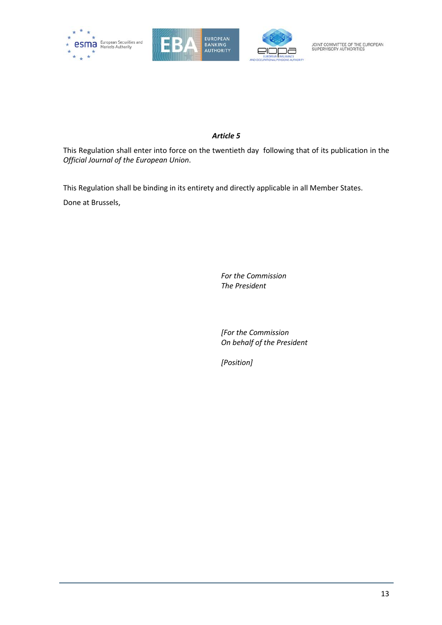





# *Article 5*

This Regulation shall enter into force on the twentieth day following that of its publication in the *Official Journal of the European Union*.

This Regulation shall be binding in its entirety and directly applicable in all Member States.

Done at Brussels,

*For the Commission The President*

*[For the Commission On behalf of the President*

*[Position]*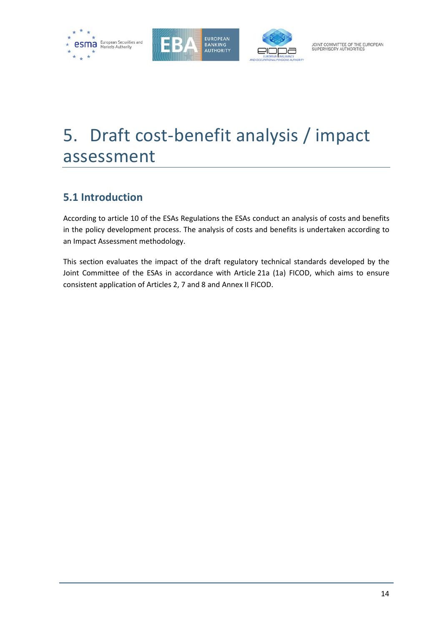





# 5. Draft cost-benefit analysis / impact assessment

# **5.1 Introduction**

According to article 10 of the ESAs Regulations the ESAs conduct an analysis of costs and benefits in the policy development process. The analysis of costs and benefits is undertaken according to an Impact Assessment methodology.

This section evaluates the impact of the draft regulatory technical standards developed by the Joint Committee of the ESAs in accordance with Article 21a (1a) FICOD, which aims to ensure consistent application of Articles 2, 7 and 8 and Annex II FICOD.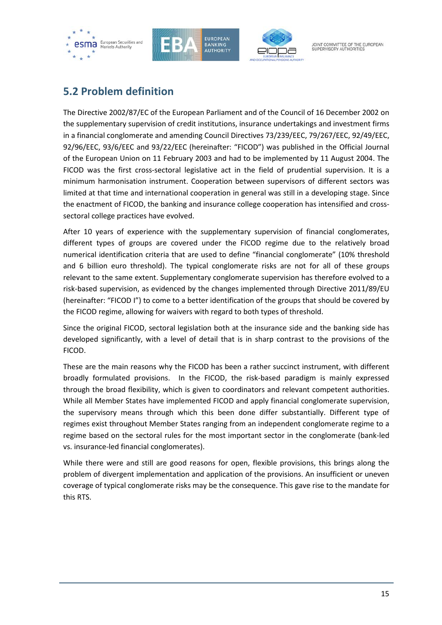





# **5.2 Problem definition**

The Directive 2002/87/EC of the European Parliament and of the Council of 16 December 2002 on the supplementary supervision of credit institutions, insurance undertakings and investment firms in a financial conglomerate and amending Council Directives 73/239/EEC, 79/267/EEC, 92/49/EEC, 92/96/EEC, 93/6/EEC and 93/22/EEC (hereinafter: "FICOD") was published in the Official Journal of the European Union on 11 February 2003 and had to be implemented by 11 August 2004. The FICOD was the first cross-sectoral legislative act in the field of prudential supervision. It is a minimum harmonisation instrument. Cooperation between supervisors of different sectors was limited at that time and international cooperation in general was still in a developing stage. Since the enactment of FICOD, the banking and insurance college cooperation has intensified and crosssectoral college practices have evolved.

After 10 years of experience with the supplementary supervision of financial conglomerates, different types of groups are covered under the FICOD regime due to the relatively broad numerical identification criteria that are used to define "financial conglomerate" (10% threshold and 6 billion euro threshold). The typical conglomerate risks are not for all of these groups relevant to the same extent. Supplementary conglomerate supervision has therefore evolved to a risk-based supervision, as evidenced by the changes implemented through Directive 2011/89/EU (hereinafter: "FICOD I") to come to a better identification of the groups that should be covered by the FICOD regime, allowing for waivers with regard to both types of threshold.

Since the original FICOD, sectoral legislation both at the insurance side and the banking side has developed significantly, with a level of detail that is in sharp contrast to the provisions of the FICOD.

These are the main reasons why the FICOD has been a rather succinct instrument, with different broadly formulated provisions. In the FICOD, the risk-based paradigm is mainly expressed through the broad flexibility, which is given to coordinators and relevant competent authorities. While all Member States have implemented FICOD and apply financial conglomerate supervision, the supervisory means through which this been done differ substantially. Different type of regimes exist throughout Member States ranging from an independent conglomerate regime to a regime based on the sectoral rules for the most important sector in the conglomerate (bank-led vs. insurance-led financial conglomerates).

While there were and still are good reasons for open, flexible provisions, this brings along the problem of divergent implementation and application of the provisions. An insufficient or uneven coverage of typical conglomerate risks may be the consequence. This gave rise to the mandate for this RTS.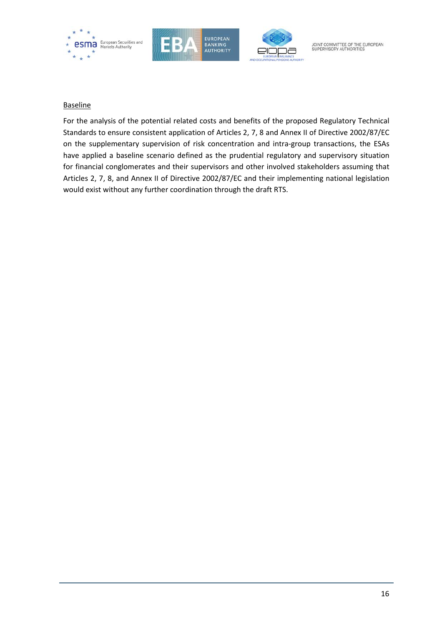

#### **Baseline**

For the analysis of the potential related costs and benefits of the proposed Regulatory Technical Standards to ensure consistent application of Articles 2, 7, 8 and Annex II of Directive 2002/87/EC on the supplementary supervision of risk concentration and intra-group transactions, the ESAs have applied a baseline scenario defined as the prudential regulatory and supervisory situation for financial conglomerates and their supervisors and other involved stakeholders assuming that Articles 2, 7, 8, and Annex II of Directive 2002/87/EC and their implementing national legislation would exist without any further coordination through the draft RTS.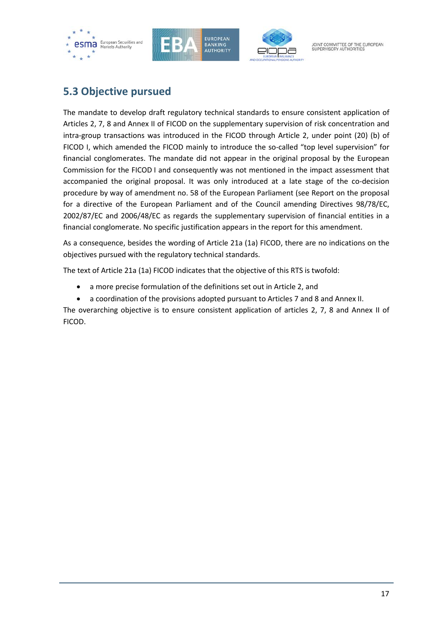





# **5.3 Objective pursued**

The mandate to develop draft regulatory technical standards to ensure consistent application of Articles 2, 7, 8 and Annex II of FICOD on the supplementary supervision of risk concentration and intra-group transactions was introduced in the FICOD through Article 2, under point (20) (b) of FICOD I, which amended the FICOD mainly to introduce the so-called "top level supervision" for financial conglomerates. The mandate did not appear in the original proposal by the European Commission for the FICOD I and consequently was not mentioned in the impact assessment that accompanied the original proposal. It was only introduced at a late stage of the co-decision procedure by way of amendment no. 58 of the European Parliament (see Report on the proposal for a directive of the European Parliament and of the Council amending Directives 98/78/EC, 2002/87/EC and 2006/48/EC as regards the supplementary supervision of financial entities in a financial conglomerate. No specific justification appears in the report for this amendment.

As a consequence, besides the wording of Article 21a (1a) FICOD, there are no indications on the objectives pursued with the regulatory technical standards.

The text of Article 21a (1a) FICOD indicates that the objective of this RTS is twofold:

- a more precise formulation of the definitions set out in Article 2, and
- a coordination of the provisions adopted pursuant to Articles 7 and 8 and Annex II.

The overarching objective is to ensure consistent application of articles 2, 7, 8 and Annex II of FICOD.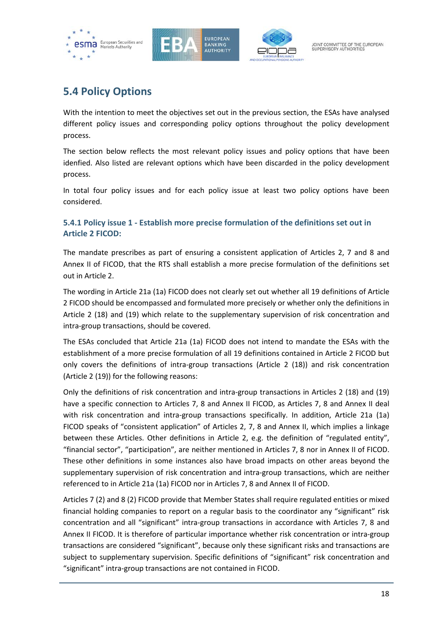





# **5.4 Policy Options**

With the intention to meet the objectives set out in the previous section, the ESAs have analysed different policy issues and corresponding policy options throughout the policy development process.

The section below reflects the most relevant policy issues and policy options that have been idenfied. Also listed are relevant options which have been discarded in the policy development process.

In total four policy issues and for each policy issue at least two policy options have been considered.

# **5.4.1 Policy issue 1 - Establish more precise formulation of the definitions set out in Article 2 FICOD:**

The mandate prescribes as part of ensuring a consistent application of Articles 2, 7 and 8 and Annex II of FICOD, that the RTS shall establish a more precise formulation of the definitions set out in Article 2.

The wording in Article 21a (1a) FICOD does not clearly set out whether all 19 definitions of Article 2 FICOD should be encompassed and formulated more precisely or whether only the definitions in Article 2 (18) and (19) which relate to the supplementary supervision of risk concentration and intra-group transactions, should be covered.

The ESAs concluded that Article 21a (1a) FICOD does not intend to mandate the ESAs with the establishment of a more precise formulation of all 19 definitions contained in Article 2 FICOD but only covers the definitions of intra-group transactions (Article 2 (18)) and risk concentration (Article 2 (19)) for the following reasons:

Only the definitions of risk concentration and intra-group transactions in Articles 2 (18) and (19) have a specific connection to Articles 7, 8 and Annex II FICOD, as Articles 7, 8 and Annex II deal with risk concentration and intra-group transactions specifically. In addition, Article 21a (1a) FICOD speaks of "consistent application" of Articles 2, 7, 8 and Annex II, which implies a linkage between these Articles. Other definitions in Article 2, e.g. the definition of "regulated entity", "financial sector", "participation", are neither mentioned in Articles 7, 8 nor in Annex II of FICOD. These other definitions in some instances also have broad impacts on other areas beyond the supplementary supervision of risk concentration and intra-group transactions, which are neither referenced to in Article 21a (1a) FICOD nor in Articles 7, 8 and Annex II of FICOD.

Articles 7 (2) and 8 (2) FICOD provide that Member States shall require regulated entities or mixed financial holding companies to report on a regular basis to the coordinator any "significant" risk concentration and all "significant" intra-group transactions in accordance with Articles 7, 8 and Annex II FICOD. It is therefore of particular importance whether risk concentration or intra-group transactions are considered "significant", because only these significant risks and transactions are subject to supplementary supervision. Specific definitions of "significant" risk concentration and "significant" intra-group transactions are not contained in FICOD.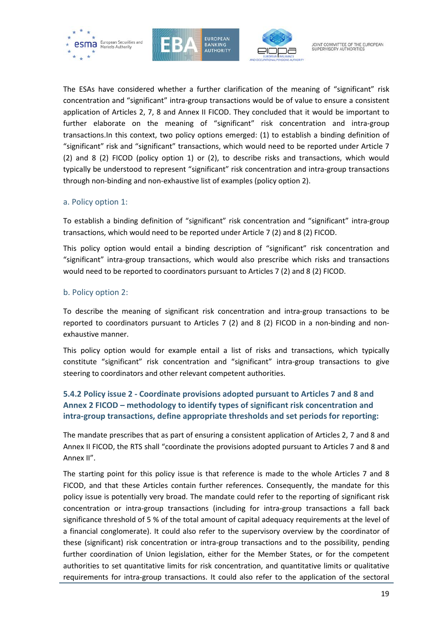





The ESAs have considered whether a further clarification of the meaning of "significant" risk concentration and "significant" intra-group transactions would be of value to ensure a consistent application of Articles 2, 7, 8 and Annex II FICOD. They concluded that it would be important to further elaborate on the meaning of "significant" risk concentration and intra-group transactions.In this context, two policy options emerged: (1) to establish a binding definition of "significant" risk and "significant" transactions, which would need to be reported under Article 7 (2) and 8 (2) FICOD (policy option 1) or (2), to describe risks and transactions, which would typically be understood to represent "significant" risk concentration and intra-group transactions through non-binding and non-exhaustive list of examples (policy option 2).

#### a. Policy option 1:

To establish a binding definition of "significant" risk concentration and "significant" intra-group transactions, which would need to be reported under Article 7 (2) and 8 (2) FICOD.

This policy option would entail a binding description of "significant" risk concentration and "significant" intra-group transactions, which would also prescribe which risks and transactions would need to be reported to coordinators pursuant to Articles 7 (2) and 8 (2) FICOD.

# b. Policy option 2:

To describe the meaning of significant risk concentration and intra-group transactions to be reported to coordinators pursuant to Articles 7 (2) and 8 (2) FICOD in a non-binding and nonexhaustive manner.

This policy option would for example entail a list of risks and transactions, which typically constitute "significant" risk concentration and "significant" intra-group transactions to give steering to coordinators and other relevant competent authorities.

# **5.4.2 Policy issue 2 - Coordinate provisions adopted pursuant to Articles 7 and 8 and Annex 2 FICOD – methodology to identify types of significant risk concentration and intra-group transactions, define appropriate thresholds and set periods for reporting:**

The mandate prescribes that as part of ensuring a consistent application of Articles 2, 7 and 8 and Annex II FICOD, the RTS shall "coordinate the provisions adopted pursuant to Articles 7 and 8 and Annex II".

The starting point for this policy issue is that reference is made to the whole Articles 7 and 8 FICOD, and that these Articles contain further references. Consequently, the mandate for this policy issue is potentially very broad. The mandate could refer to the reporting of significant risk concentration or intra-group transactions (including for intra-group transactions a fall back significance threshold of 5 % of the total amount of capital adequacy requirements at the level of a financial conglomerate). It could also refer to the supervisory overview by the coordinator of these (significant) risk concentration or intra-group transactions and to the possibility, pending further coordination of Union legislation, either for the Member States, or for the competent authorities to set quantitative limits for risk concentration, and quantitative limits or qualitative requirements for intra-group transactions. It could also refer to the application of the sectoral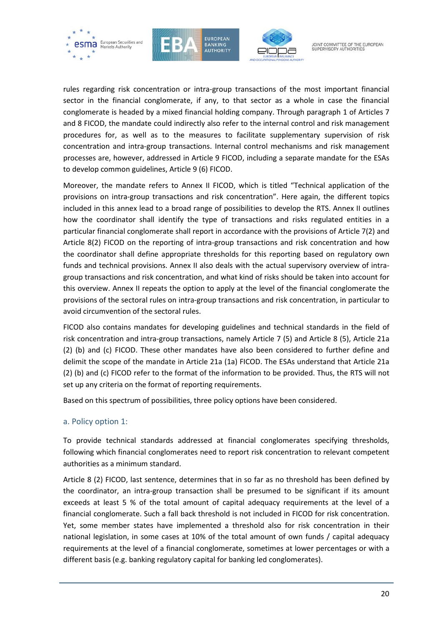





rules regarding risk concentration or intra-group transactions of the most important financial sector in the financial conglomerate, if any, to that sector as a whole in case the financial conglomerate is headed by a mixed financial holding company. Through paragraph 1 of Articles 7 and 8 FICOD, the mandate could indirectly also refer to the internal control and risk management procedures for, as well as to the measures to facilitate supplementary supervision of risk concentration and intra-group transactions. Internal control mechanisms and risk management processes are, however, addressed in Article 9 FICOD, including a separate mandate for the ESAs to develop common guidelines, Article 9 (6) FICOD.

Moreover, the mandate refers to Annex II FICOD, which is titled "Technical application of the provisions on intra-group transactions and risk concentration". Here again, the different topics included in this annex lead to a broad range of possibilities to develop the RTS. Annex II outlines how the coordinator shall identify the type of transactions and risks regulated entities in a particular financial conglomerate shall report in accordance with the provisions of Article 7(2) and Article 8(2) FICOD on the reporting of intra-group transactions and risk concentration and how the coordinator shall define appropriate thresholds for this reporting based on regulatory own funds and technical provisions. Annex II also deals with the actual supervisory overview of intragroup transactions and risk concentration, and what kind of risks should be taken into account for this overview. Annex II repeats the option to apply at the level of the financial conglomerate the provisions of the sectoral rules on intra-group transactions and risk concentration, in particular to avoid circumvention of the sectoral rules.

FICOD also contains mandates for developing guidelines and technical standards in the field of risk concentration and intra-group transactions, namely Article 7 (5) and Article 8 (5), Article 21a (2) (b) and (c) FICOD. These other mandates have also been considered to further define and delimit the scope of the mandate in Article 21a (1a) FICOD. The ESAs understand that Article 21a (2) (b) and (c) FICOD refer to the format of the information to be provided. Thus, the RTS will not set up any criteria on the format of reporting requirements.

Based on this spectrum of possibilities, three policy options have been considered.

# a. Policy option 1:

To provide technical standards addressed at financial conglomerates specifying thresholds, following which financial conglomerates need to report risk concentration to relevant competent authorities as a minimum standard.

Article 8 (2) FICOD, last sentence, determines that in so far as no threshold has been defined by the coordinator, an intra-group transaction shall be presumed to be significant if its amount exceeds at least 5 % of the total amount of capital adequacy requirements at the level of a financial conglomerate. Such a fall back threshold is not included in FICOD for risk concentration. Yet, some member states have implemented a threshold also for risk concentration in their national legislation, in some cases at 10% of the total amount of own funds / capital adequacy requirements at the level of a financial conglomerate, sometimes at lower percentages or with a different basis (e.g. banking regulatory capital for banking led conglomerates).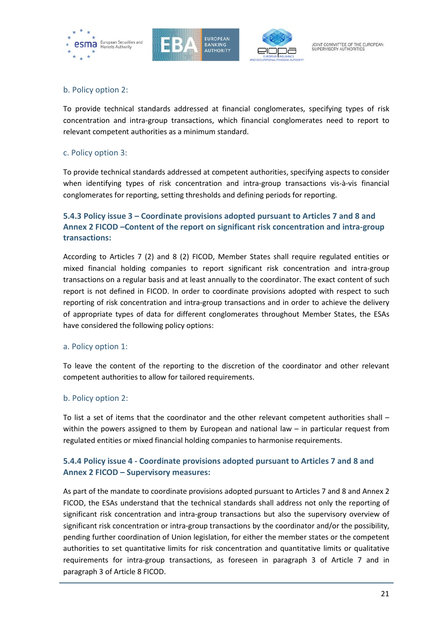





# b. Policy option 2:

To provide technical standards addressed at financial conglomerates, specifying types of risk concentration and intra-group transactions, which financial conglomerates need to report to relevant competent authorities as a minimum standard.

# c. Policy option 3:

To provide technical standards addressed at competent authorities, specifying aspects to consider when identifying types of risk concentration and intra-group transactions vis-à-vis financial conglomerates for reporting, setting thresholds and defining periods for reporting.

# **5.4.3 Policy issue 3 – Coordinate provisions adopted pursuant to Articles 7 and 8 and Annex 2 FICOD –Content of the report on significant risk concentration and intra-group transactions:**

According to Articles 7 (2) and 8 (2) FICOD, Member States shall require regulated entities or mixed financial holding companies to report significant risk concentration and intra-group transactions on a regular basis and at least annually to the coordinator. The exact content of such report is not defined in FICOD. In order to coordinate provisions adopted with respect to such reporting of risk concentration and intra-group transactions and in order to achieve the delivery of appropriate types of data for different conglomerates throughout Member States, the ESAs have considered the following policy options:

# a. Policy option 1:

To leave the content of the reporting to the discretion of the coordinator and other relevant competent authorities to allow for tailored requirements.

# b. Policy option 2:

To list a set of items that the coordinator and the other relevant competent authorities shall – within the powers assigned to them by European and national law – in particular request from regulated entities or mixed financial holding companies to harmonise requirements.

# **5.4.4 Policy issue 4 - Coordinate provisions adopted pursuant to Articles 7 and 8 and Annex 2 FICOD – Supervisory measures:**

As part of the mandate to coordinate provisions adopted pursuant to Articles 7 and 8 and Annex 2 FICOD, the ESAs understand that the technical standards shall address not only the reporting of significant risk concentration and intra-group transactions but also the supervisory overview of significant risk concentration or intra-group transactions by the coordinator and/or the possibility, pending further coordination of Union legislation, for either the member states or the competent authorities to set quantitative limits for risk concentration and quantitative limits or qualitative requirements for intra-group transactions, as foreseen in paragraph 3 of Article 7 and in paragraph 3 of Article 8 FICOD.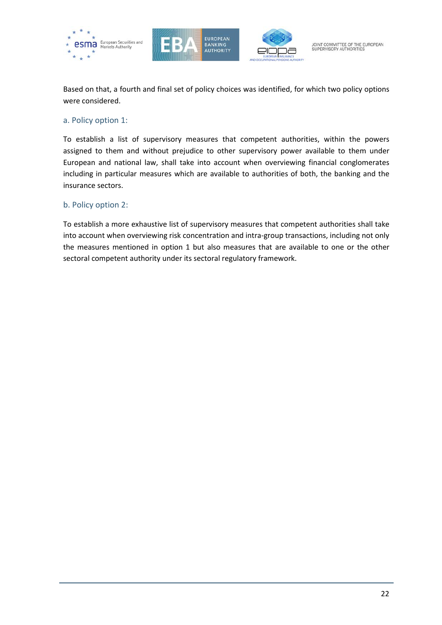





Based on that, a fourth and final set of policy choices was identified, for which two policy options were considered.

#### a. Policy option 1:

To establish a list of supervisory measures that competent authorities, within the powers assigned to them and without prejudice to other supervisory power available to them under European and national law, shall take into account when overviewing financial conglomerates including in particular measures which are available to authorities of both, the banking and the insurance sectors.

# b. Policy option 2:

To establish a more exhaustive list of supervisory measures that competent authorities shall take into account when overviewing risk concentration and intra-group transactions, including not only the measures mentioned in option 1 but also measures that are available to one or the other sectoral competent authority under its sectoral regulatory framework.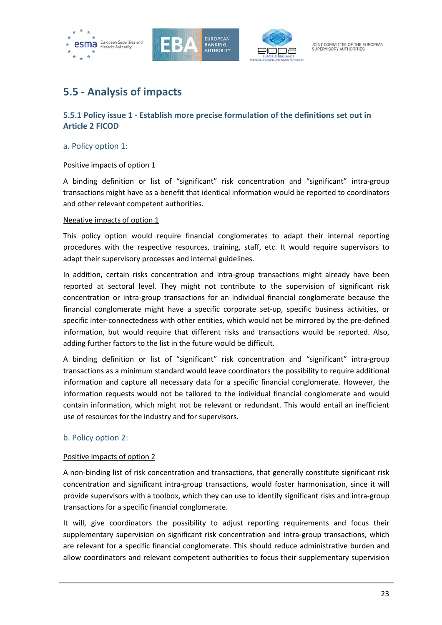





# **5.5 - Analysis of impacts**

# **5.5.1 Policy issue 1 - Establish more precise formulation of the definitions set out in Article 2 FICOD**

# a. Policy option 1:

# Positive impacts of option 1

A binding definition or list of "significant" risk concentration and "significant" intra-group transactions might have as a benefit that identical information would be reported to coordinators and other relevant competent authorities.

# Negative impacts of option 1

This policy option would require financial conglomerates to adapt their internal reporting procedures with the respective resources, training, staff, etc. It would require supervisors to adapt their supervisory processes and internal guidelines.

In addition, certain risks concentration and intra-group transactions might already have been reported at sectoral level. They might not contribute to the supervision of significant risk concentration or intra-group transactions for an individual financial conglomerate because the financial conglomerate might have a specific corporate set-up, specific business activities, or specific inter-connectedness with other entities, which would not be mirrored by the pre-defined information, but would require that different risks and transactions would be reported. Also, adding further factors to the list in the future would be difficult.

A binding definition or list of "significant" risk concentration and "significant" intra-group transactions as a minimum standard would leave coordinators the possibility to require additional information and capture all necessary data for a specific financial conglomerate. However, the information requests would not be tailored to the individual financial conglomerate and would contain information, which might not be relevant or redundant. This would entail an inefficient use of resources for the industry and for supervisors.

# b. Policy option 2:

# Positive impacts of option 2

A non-binding list of risk concentration and transactions, that generally constitute significant risk concentration and significant intra-group transactions, would foster harmonisation, since it will provide supervisors with a toolbox, which they can use to identify significant risks and intra-group transactions for a specific financial conglomerate.

It will, give coordinators the possibility to adjust reporting requirements and focus their supplementary supervision on significant risk concentration and intra-group transactions, which are relevant for a specific financial conglomerate. This should reduce administrative burden and allow coordinators and relevant competent authorities to focus their supplementary supervision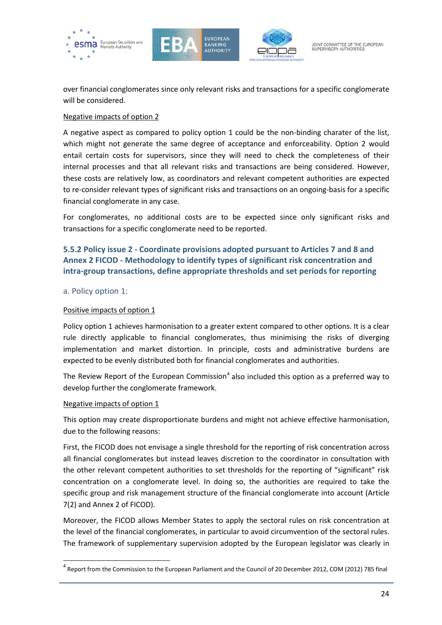





over financial conglomerates since only relevant risks and transactions for a specific conglomerate will be considered.

# Negative impacts of option 2

A negative aspect as compared to policy option 1 could be the non-binding charater of the list, which might not generate the same degree of acceptance and enforceability. Option 2 would entail certain costs for supervisors, since they will need to check the completeness of their internal processes and that all relevant risks and transactions are being considered. However, these costs are relatively low, as coordinators and relevant competent authorities are expected to re-consider relevant types of significant risks and transactions on an ongoing-basis for a specific financial conglomerate in any case.

For conglomerates, no additional costs are to be expected since only significant risks and transactions for a specific conglomerate need to be reported.

# **5.5.2 Policy issue 2 - Coordinate provisions adopted pursuant to Articles 7 and 8 and Annex 2 FICOD - Methodology to identify types of significant risk concentration and intra-group transactions, define appropriate thresholds and set periods for reporting**

# a. Policy option 1:

# Positive impacts of option 1

Policy option 1 achieves harmonisation to a greater extent compared to other options. It is a clear rule directly applicable to financial conglomerates, thus minimising the risks of diverging implementation and market distortion. In principle, costs and administrative burdens are expected to be evenly distributed both for financial conglomerates and authorities.

The Review Report of the European Commission<sup>[4](#page-23-0)</sup> also included this option as a preferred way to develop further the conglomerate framework.

# Negative impacts of option 1

 $\overline{a}$ 

This option may create disproportionate burdens and might not achieve effective harmonisation, due to the following reasons:

First, the FICOD does not envisage a single threshold for the reporting of risk concentration across all financial conglomerates but instead leaves discretion to the coordinator in consultation with the other relevant competent authorities to set thresholds for the reporting of "significant" risk concentration on a conglomerate level. In doing so, the authorities are required to take the specific group and risk management structure of the financial conglomerate into account (Article 7(2) and Annex 2 of FICOD).

Moreover, the FICOD allows Member States to apply the sectoral rules on risk concentration at the level of the financial conglomerates, in particular to avoid circumvention of the sectoral rules. The framework of supplementary supervision adopted by the European legislator was clearly in

<span id="page-23-0"></span> $<sup>4</sup>$  Report from the Commission to the European Parliament and the Council of 20 December 2012, COM (2012) 785 final</sup>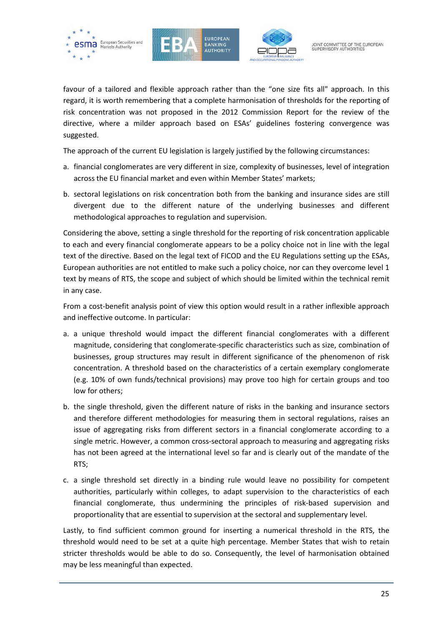





favour of a tailored and flexible approach rather than the "one size fits all" approach. In this regard, it is worth remembering that a complete harmonisation of thresholds for the reporting of risk concentration was not proposed in the 2012 Commission Report for the review of the directive, where a milder approach based on ESAs' guidelines fostering convergence was suggested.

The approach of the current EU legislation is largely justified by the following circumstances:

- a. financial conglomerates are very different in size, complexity of businesses, level of integration across the EU financial market and even within Member States' markets;
- b. sectoral legislations on risk concentration both from the banking and insurance sides are still divergent due to the different nature of the underlying businesses and different methodological approaches to regulation and supervision.

Considering the above, setting a single threshold for the reporting of risk concentration applicable to each and every financial conglomerate appears to be a policy choice not in line with the legal text of the directive. Based on the legal text of FICOD and the EU Regulations setting up the ESAs, European authorities are not entitled to make such a policy choice, nor can they overcome level 1 text by means of RTS, the scope and subject of which should be limited within the technical remit in any case.

From a cost-benefit analysis point of view this option would result in a rather inflexible approach and ineffective outcome. In particular:

- a. a unique threshold would impact the different financial conglomerates with a different magnitude, considering that conglomerate-specific characteristics such as size, combination of businesses, group structures may result in different significance of the phenomenon of risk concentration. A threshold based on the characteristics of a certain exemplary conglomerate (e.g. 10% of own funds/technical provisions) may prove too high for certain groups and too low for others;
- b. the single threshold, given the different nature of risks in the banking and insurance sectors and therefore different methodologies for measuring them in sectoral regulations, raises an issue of aggregating risks from different sectors in a financial conglomerate according to a single metric. However, a common cross-sectoral approach to measuring and aggregating risks has not been agreed at the international level so far and is clearly out of the mandate of the RTS;
- c. a single threshold set directly in a binding rule would leave no possibility for competent authorities, particularly within colleges, to adapt supervision to the characteristics of each financial conglomerate, thus undermining the principles of risk-based supervision and proportionality that are essential to supervision at the sectoral and supplementary level.

Lastly, to find sufficient common ground for inserting a numerical threshold in the RTS, the threshold would need to be set at a quite high percentage. Member States that wish to retain stricter thresholds would be able to do so. Consequently, the level of harmonisation obtained may be less meaningful than expected.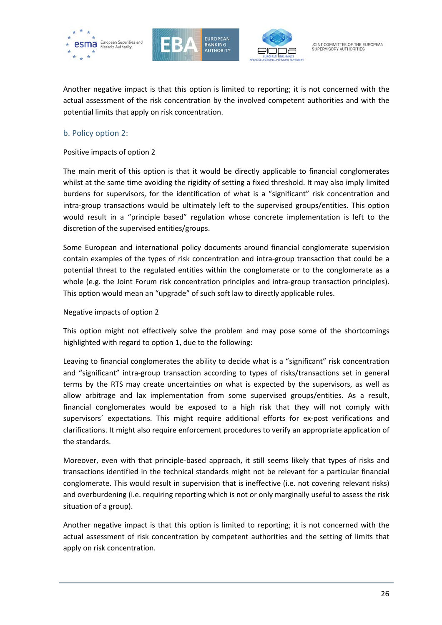





Another negative impact is that this option is limited to reporting; it is not concerned with the actual assessment of the risk concentration by the involved competent authorities and with the potential limits that apply on risk concentration.

# b. Policy option 2:

# Positive impacts of option 2

The main merit of this option is that it would be directly applicable to financial conglomerates whilst at the same time avoiding the rigidity of setting a fixed threshold. It may also imply limited burdens for supervisors, for the identification of what is a "significant" risk concentration and intra-group transactions would be ultimately left to the supervised groups/entities. This option would result in a "principle based" regulation whose concrete implementation is left to the discretion of the supervised entities/groups.

Some European and international policy documents around financial conglomerate supervision contain examples of the types of risk concentration and intra-group transaction that could be a potential threat to the regulated entities within the conglomerate or to the conglomerate as a whole (e.g. the Joint Forum risk concentration principles and intra-group transaction principles). This option would mean an "upgrade" of such soft law to directly applicable rules.

#### Negative impacts of option 2

This option might not effectively solve the problem and may pose some of the shortcomings highlighted with regard to option 1, due to the following:

Leaving to financial conglomerates the ability to decide what is a "significant" risk concentration and "significant" intra-group transaction according to types of risks/transactions set in general terms by the RTS may create uncertainties on what is expected by the supervisors, as well as allow arbitrage and lax implementation from some supervised groups/entities. As a result, financial conglomerates would be exposed to a high risk that they will not comply with supervisors´ expectations. This might require additional efforts for ex-post verifications and clarifications. It might also require enforcement procedures to verify an appropriate application of the standards.

Moreover, even with that principle-based approach, it still seems likely that types of risks and transactions identified in the technical standards might not be relevant for a particular financial conglomerate. This would result in supervision that is ineffective (i.e. not covering relevant risks) and overburdening (i.e. requiring reporting which is not or only marginally useful to assess the risk situation of a group).

Another negative impact is that this option is limited to reporting; it is not concerned with the actual assessment of risk concentration by competent authorities and the setting of limits that apply on risk concentration.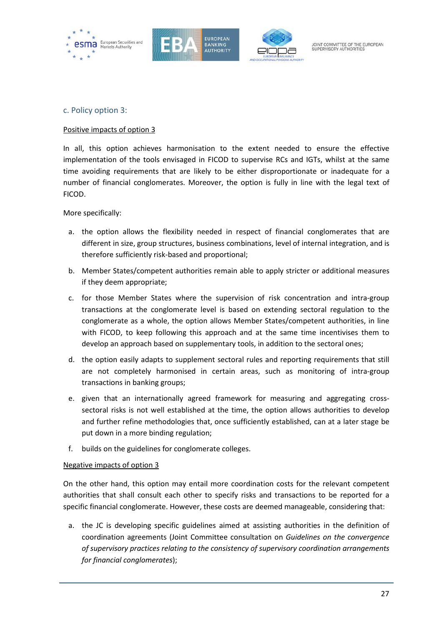





# c. Policy option 3:

# Positive impacts of option 3

In all, this option achieves harmonisation to the extent needed to ensure the effective implementation of the tools envisaged in FICOD to supervise RCs and IGTs, whilst at the same time avoiding requirements that are likely to be either disproportionate or inadequate for a number of financial conglomerates. Moreover, the option is fully in line with the legal text of FICOD.

More specifically:

- a. the option allows the flexibility needed in respect of financial conglomerates that are different in size, group structures, business combinations, level of internal integration, and is therefore sufficiently risk-based and proportional;
- b. Member States/competent authorities remain able to apply stricter or additional measures if they deem appropriate;
- c. for those Member States where the supervision of risk concentration and intra-group transactions at the conglomerate level is based on extending sectoral regulation to the conglomerate as a whole, the option allows Member States/competent authorities, in line with FICOD, to keep following this approach and at the same time incentivises them to develop an approach based on supplementary tools, in addition to the sectoral ones;
- d. the option easily adapts to supplement sectoral rules and reporting requirements that still are not completely harmonised in certain areas, such as monitoring of intra-group transactions in banking groups;
- e. given that an internationally agreed framework for measuring and aggregating crosssectoral risks is not well established at the time, the option allows authorities to develop and further refine methodologies that, once sufficiently established, can at a later stage be put down in a more binding regulation;
- f. builds on the guidelines for conglomerate colleges.

# Negative impacts of option 3

On the other hand, this option may entail more coordination costs for the relevant competent authorities that shall consult each other to specify risks and transactions to be reported for a specific financial conglomerate. However, these costs are deemed manageable, considering that:

a. the JC is developing specific guidelines aimed at assisting authorities in the definition of coordination agreements (Joint Committee consultation on *Guidelines on the convergence of supervisory practices relating to the consistency of supervisory coordination arrangements for financial conglomerates*);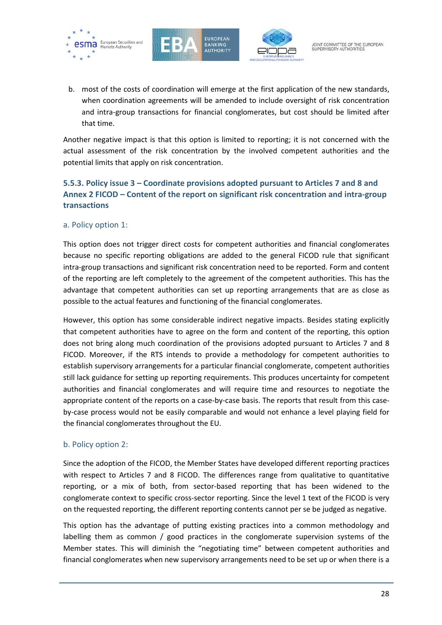





b. most of the costs of coordination will emerge at the first application of the new standards, when coordination agreements will be amended to include oversight of risk concentration and intra-group transactions for financial conglomerates, but cost should be limited after that time.

Another negative impact is that this option is limited to reporting; it is not concerned with the actual assessment of the risk concentration by the involved competent authorities and the potential limits that apply on risk concentration.

# **5.5.3. Policy issue 3 – Coordinate provisions adopted pursuant to Articles 7 and 8 and Annex 2 FICOD – Content of the report on significant risk concentration and intra-group transactions**

# a. Policy option 1:

This option does not trigger direct costs for competent authorities and financial conglomerates because no specific reporting obligations are added to the general FICOD rule that significant intra-group transactions and significant risk concentration need to be reported. Form and content of the reporting are left completely to the agreement of the competent authorities. This has the advantage that competent authorities can set up reporting arrangements that are as close as possible to the actual features and functioning of the financial conglomerates.

However, this option has some considerable indirect negative impacts. Besides stating explicitly that competent authorities have to agree on the form and content of the reporting, this option does not bring along much coordination of the provisions adopted pursuant to Articles 7 and 8 FICOD. Moreover, if the RTS intends to provide a methodology for competent authorities to establish supervisory arrangements for a particular financial conglomerate, competent authorities still lack guidance for setting up reporting requirements. This produces uncertainty for competent authorities and financial conglomerates and will require time and resources to negotiate the appropriate content of the reports on a case-by-case basis. The reports that result from this caseby-case process would not be easily comparable and would not enhance a level playing field for the financial conglomerates throughout the EU.

# b. Policy option 2:

Since the adoption of the FICOD, the Member States have developed different reporting practices with respect to Articles 7 and 8 FICOD. The differences range from qualitative to quantitative reporting, or a mix of both, from sector-based reporting that has been widened to the conglomerate context to specific cross-sector reporting. Since the level 1 text of the FICOD is very on the requested reporting, the different reporting contents cannot per se be judged as negative.

This option has the advantage of putting existing practices into a common methodology and labelling them as common / good practices in the conglomerate supervision systems of the Member states. This will diminish the "negotiating time" between competent authorities and financial conglomerates when new supervisory arrangements need to be set up or when there is a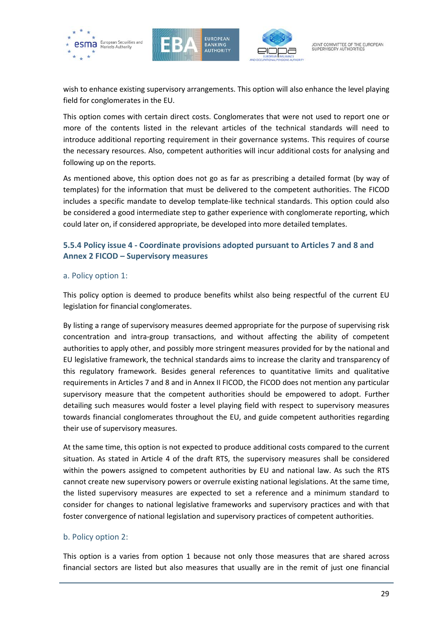





wish to enhance existing supervisory arrangements. This option will also enhance the level playing field for conglomerates in the EU.

This option comes with certain direct costs. Conglomerates that were not used to report one or more of the contents listed in the relevant articles of the technical standards will need to introduce additional reporting requirement in their governance systems. This requires of course the necessary resources. Also, competent authorities will incur additional costs for analysing and following up on the reports.

As mentioned above, this option does not go as far as prescribing a detailed format (by way of templates) for the information that must be delivered to the competent authorities. The FICOD includes a specific mandate to develop template-like technical standards. This option could also be considered a good intermediate step to gather experience with conglomerate reporting, which could later on, if considered appropriate, be developed into more detailed templates.

# **5.5.4 Policy issue 4 - Coordinate provisions adopted pursuant to Articles 7 and 8 and Annex 2 FICOD – Supervisory measures**

# a. Policy option 1:

This policy option is deemed to produce benefits whilst also being respectful of the current EU legislation for financial conglomerates.

By listing a range of supervisory measures deemed appropriate for the purpose of supervising risk concentration and intra-group transactions, and without affecting the ability of competent authorities to apply other, and possibly more stringent measures provided for by the national and EU legislative framework, the technical standards aims to increase the clarity and transparency of this regulatory framework. Besides general references to quantitative limits and qualitative requirements in Articles 7 and 8 and in Annex II FICOD, the FICOD does not mention any particular supervisory measure that the competent authorities should be empowered to adopt. Further detailing such measures would foster a level playing field with respect to supervisory measures towards financial conglomerates throughout the EU, and guide competent authorities regarding their use of supervisory measures.

At the same time, this option is not expected to produce additional costs compared to the current situation. As stated in Article 4 of the draft RTS, the supervisory measures shall be considered within the powers assigned to competent authorities by EU and national law. As such the RTS cannot create new supervisory powers or overrule existing national legislations. At the same time, the listed supervisory measures are expected to set a reference and a minimum standard to consider for changes to national legislative frameworks and supervisory practices and with that foster convergence of national legislation and supervisory practices of competent authorities.

# b. Policy option 2:

This option is a varies from option 1 because not only those measures that are shared across financial sectors are listed but also measures that usually are in the remit of just one financial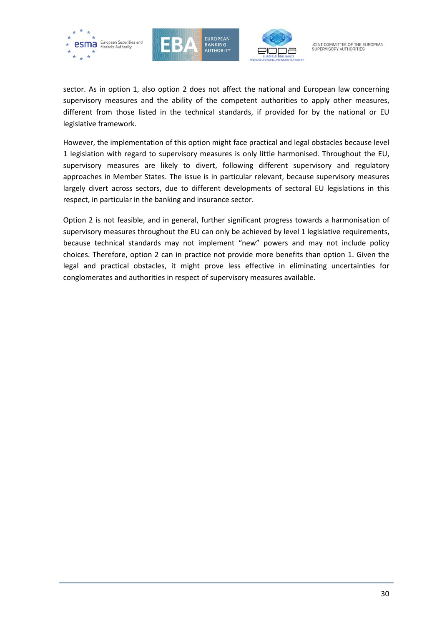





sector. As in option 1, also option 2 does not affect the national and European law concerning supervisory measures and the ability of the competent authorities to apply other measures, different from those listed in the technical standards, if provided for by the national or EU legislative framework.

However, the implementation of this option might face practical and legal obstacles because level 1 legislation with regard to supervisory measures is only little harmonised. Throughout the EU, supervisory measures are likely to divert, following different supervisory and regulatory approaches in Member States. The issue is in particular relevant, because supervisory measures largely divert across sectors, due to different developments of sectoral EU legislations in this respect, in particular in the banking and insurance sector.

Option 2 is not feasible, and in general, further significant progress towards a harmonisation of supervisory measures throughout the EU can only be achieved by level 1 legislative requirements, because technical standards may not implement "new" powers and may not include policy choices. Therefore, option 2 can in practice not provide more benefits than option 1. Given the legal and practical obstacles, it might prove less effective in eliminating uncertainties for conglomerates and authorities in respect of supervisory measures available.